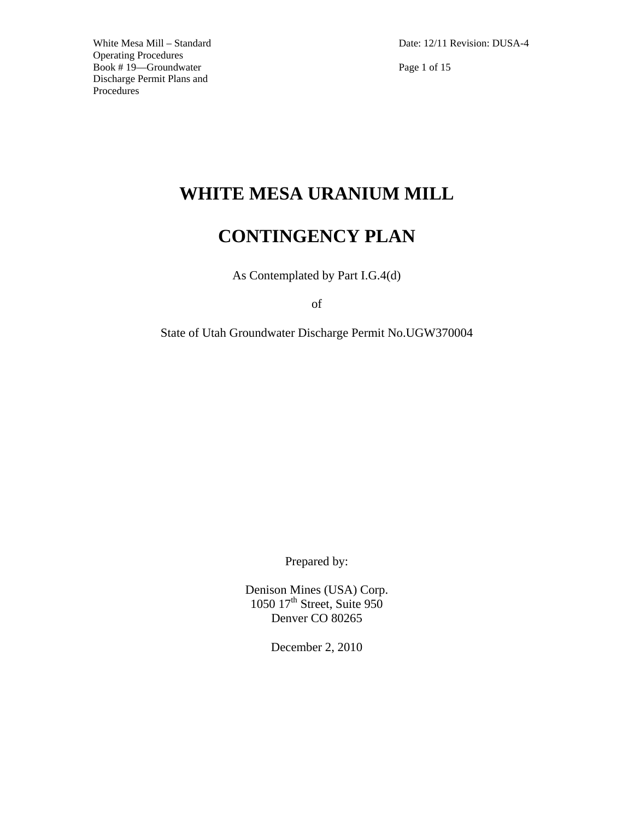Date: 12/11 Revision: DUSA-4

Page 1 of 15

# **WHITE MESA URANIUM MILL**

# **CONTINGENCY PLAN**

As Contemplated by Part I.G.4(d)

of

State of Utah Groundwater Discharge Permit No.UGW370004

Prepared by:

Denison Mines (USA) Corp. 1050 17<sup>th</sup> Street, Suite 950 Denver CO 80265

December 2, 2010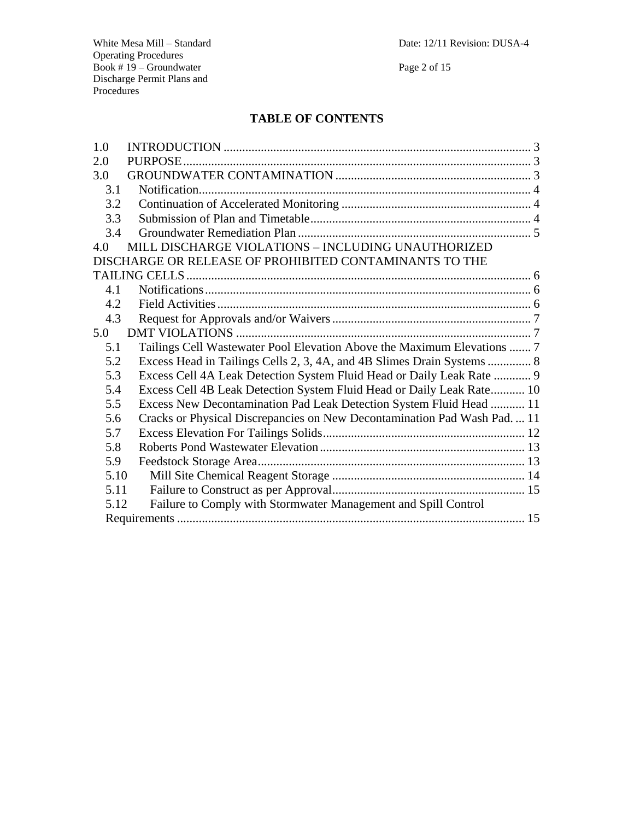Date: 12/11 Revision: DUSA-4

White Mesa Mill – Standard Operating Procedures Book # 19 – Groundwater Discharge Permit Plans and Procedures

Page 2 of 15

# **TABLE OF CONTENTS**

| 1.0  |                                                                           |  |
|------|---------------------------------------------------------------------------|--|
| 2.0  |                                                                           |  |
| 3.0  |                                                                           |  |
| 3.1  |                                                                           |  |
| 3.2  |                                                                           |  |
| 3.3  |                                                                           |  |
| 3.4  |                                                                           |  |
| 4.0  | MILL DISCHARGE VIOLATIONS - INCLUDING UNAUTHORIZED                        |  |
|      | DISCHARGE OR RELEASE OF PROHIBITED CONTAMINANTS TO THE                    |  |
|      |                                                                           |  |
| 4.1  |                                                                           |  |
| 4.2  |                                                                           |  |
| 4.3  |                                                                           |  |
| 5.0  |                                                                           |  |
| 5.1  | Tailings Cell Wastewater Pool Elevation Above the Maximum Elevations  7   |  |
| 5.2  | Excess Head in Tailings Cells 2, 3, 4A, and 4B Slimes Drain Systems  8    |  |
| 5.3  | Excess Cell 4A Leak Detection System Fluid Head or Daily Leak Rate  9     |  |
| 5.4  | Excess Cell 4B Leak Detection System Fluid Head or Daily Leak Rate 10     |  |
| 5.5  | Excess New Decontamination Pad Leak Detection System Fluid Head  11       |  |
| 5.6  | Cracks or Physical Discrepancies on New Decontamination Pad Wash Pad.  11 |  |
| 5.7  |                                                                           |  |
| 5.8  |                                                                           |  |
| 5.9  |                                                                           |  |
| 5.10 |                                                                           |  |
| 5.11 |                                                                           |  |
| 5.12 | Failure to Comply with Stormwater Management and Spill Control            |  |
|      |                                                                           |  |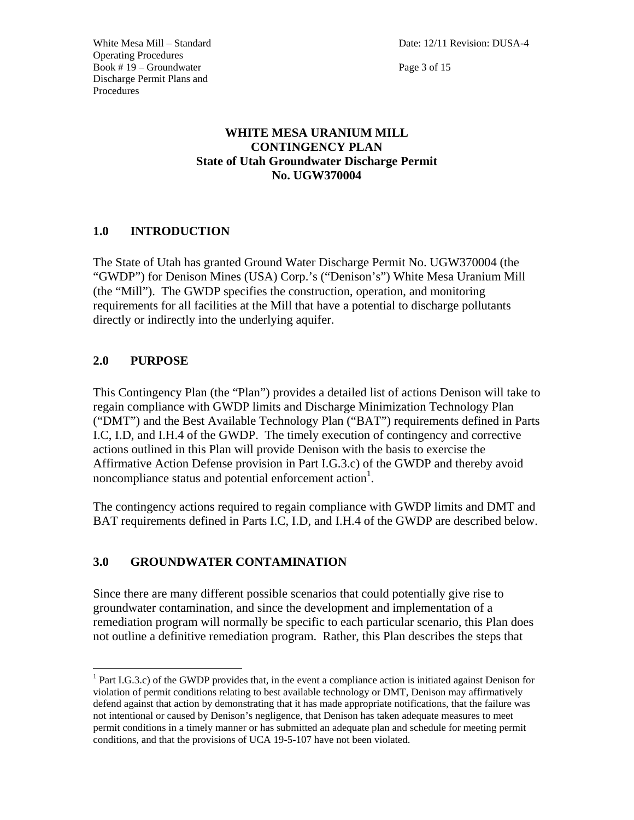Page 3 of 15

## **WHITE MESA URANIUM MILL CONTINGENCY PLAN State of Utah Groundwater Discharge Permit No. UGW370004**

## **1.0 INTRODUCTION**

The State of Utah has granted Ground Water Discharge Permit No. UGW370004 (the "GWDP") for Denison Mines (USA) Corp.'s ("Denison's") White Mesa Uranium Mill (the "Mill"). The GWDP specifies the construction, operation, and monitoring requirements for all facilities at the Mill that have a potential to discharge pollutants directly or indirectly into the underlying aquifer.

## **2.0 PURPOSE**

 $\overline{a}$ 

This Contingency Plan (the "Plan") provides a detailed list of actions Denison will take to regain compliance with GWDP limits and Discharge Minimization Technology Plan ("DMT") and the Best Available Technology Plan ("BAT") requirements defined in Parts I.C, I.D, and I.H.4 of the GWDP. The timely execution of contingency and corrective actions outlined in this Plan will provide Denison with the basis to exercise the Affirmative Action Defense provision in Part I.G.3.c) of the GWDP and thereby avoid noncompliance status and potential enforcement action<sup>1</sup>.

The contingency actions required to regain compliance with GWDP limits and DMT and BAT requirements defined in Parts I.C, I.D, and I.H.4 of the GWDP are described below.

## **3.0 GROUNDWATER CONTAMINATION**

Since there are many different possible scenarios that could potentially give rise to groundwater contamination, and since the development and implementation of a remediation program will normally be specific to each particular scenario, this Plan does not outline a definitive remediation program. Rather, this Plan describes the steps that

<sup>&</sup>lt;sup>1</sup> Part I.G.3.c) of the GWDP provides that, in the event a compliance action is initiated against Denison for violation of permit conditions relating to best available technology or DMT, Denison may affirmatively defend against that action by demonstrating that it has made appropriate notifications, that the failure was not intentional or caused by Denison's negligence, that Denison has taken adequate measures to meet permit conditions in a timely manner or has submitted an adequate plan and schedule for meeting permit conditions, and that the provisions of UCA 19-5-107 have not been violated.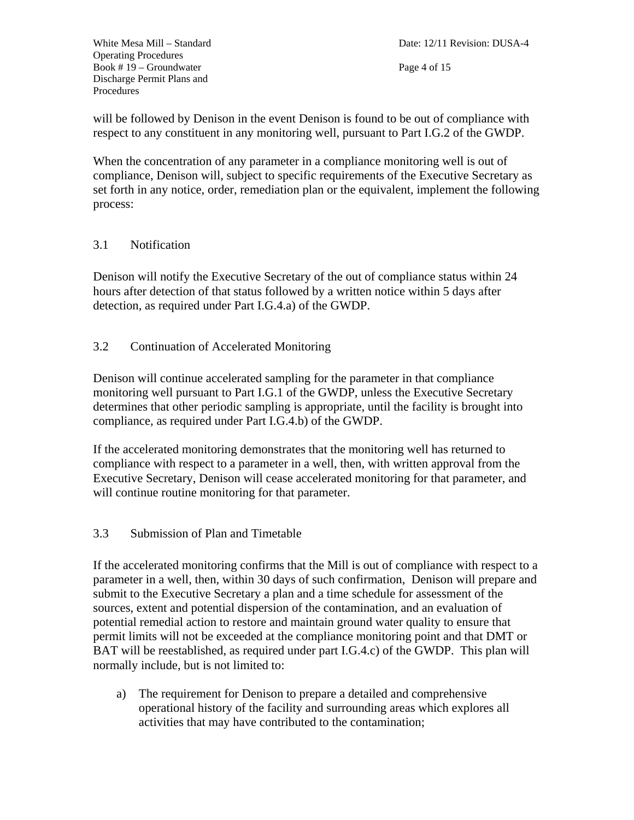Page 4 of 15

will be followed by Denison in the event Denison is found to be out of compliance with respect to any constituent in any monitoring well, pursuant to Part I.G.2 of the GWDP.

When the concentration of any parameter in a compliance monitoring well is out of compliance, Denison will, subject to specific requirements of the Executive Secretary as set forth in any notice, order, remediation plan or the equivalent, implement the following process:

#### 3.1 Notification

Denison will notify the Executive Secretary of the out of compliance status within 24 hours after detection of that status followed by a written notice within 5 days after detection, as required under Part I.G.4.a) of the GWDP.

#### 3.2 Continuation of Accelerated Monitoring

Denison will continue accelerated sampling for the parameter in that compliance monitoring well pursuant to Part I.G.1 of the GWDP, unless the Executive Secretary determines that other periodic sampling is appropriate, until the facility is brought into compliance, as required under Part I.G.4.b) of the GWDP.

If the accelerated monitoring demonstrates that the monitoring well has returned to compliance with respect to a parameter in a well, then, with written approval from the Executive Secretary, Denison will cease accelerated monitoring for that parameter, and will continue routine monitoring for that parameter.

#### 3.3 Submission of Plan and Timetable

If the accelerated monitoring confirms that the Mill is out of compliance with respect to a parameter in a well, then, within 30 days of such confirmation, Denison will prepare and submit to the Executive Secretary a plan and a time schedule for assessment of the sources, extent and potential dispersion of the contamination, and an evaluation of potential remedial action to restore and maintain ground water quality to ensure that permit limits will not be exceeded at the compliance monitoring point and that DMT or BAT will be reestablished, as required under part I.G.4.c) of the GWDP. This plan will normally include, but is not limited to:

a) The requirement for Denison to prepare a detailed and comprehensive operational history of the facility and surrounding areas which explores all activities that may have contributed to the contamination;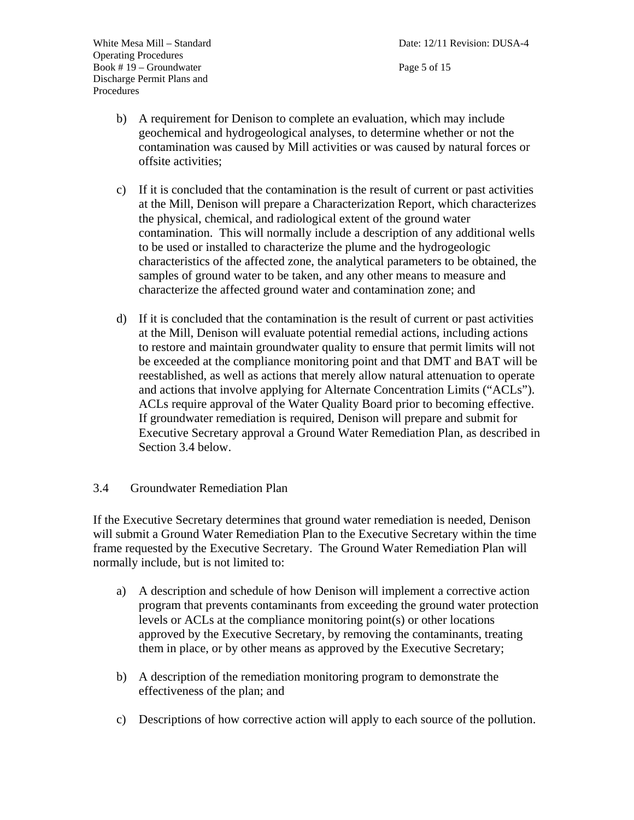Page 5 of 15

- b) A requirement for Denison to complete an evaluation, which may include geochemical and hydrogeological analyses, to determine whether or not the contamination was caused by Mill activities or was caused by natural forces or offsite activities;
- c) If it is concluded that the contamination is the result of current or past activities at the Mill, Denison will prepare a Characterization Report, which characterizes the physical, chemical, and radiological extent of the ground water contamination. This will normally include a description of any additional wells to be used or installed to characterize the plume and the hydrogeologic characteristics of the affected zone, the analytical parameters to be obtained, the samples of ground water to be taken, and any other means to measure and characterize the affected ground water and contamination zone; and
- d) If it is concluded that the contamination is the result of current or past activities at the Mill, Denison will evaluate potential remedial actions, including actions to restore and maintain groundwater quality to ensure that permit limits will not be exceeded at the compliance monitoring point and that DMT and BAT will be reestablished, as well as actions that merely allow natural attenuation to operate and actions that involve applying for Alternate Concentration Limits ("ACLs"). ACLs require approval of the Water Quality Board prior to becoming effective. If groundwater remediation is required, Denison will prepare and submit for Executive Secretary approval a Ground Water Remediation Plan, as described in Section 3.4 below.

#### 3.4 Groundwater Remediation Plan

If the Executive Secretary determines that ground water remediation is needed, Denison will submit a Ground Water Remediation Plan to the Executive Secretary within the time frame requested by the Executive Secretary. The Ground Water Remediation Plan will normally include, but is not limited to:

- a) A description and schedule of how Denison will implement a corrective action program that prevents contaminants from exceeding the ground water protection levels or ACLs at the compliance monitoring point(s) or other locations approved by the Executive Secretary, by removing the contaminants, treating them in place, or by other means as approved by the Executive Secretary;
- b) A description of the remediation monitoring program to demonstrate the effectiveness of the plan; and
- c) Descriptions of how corrective action will apply to each source of the pollution.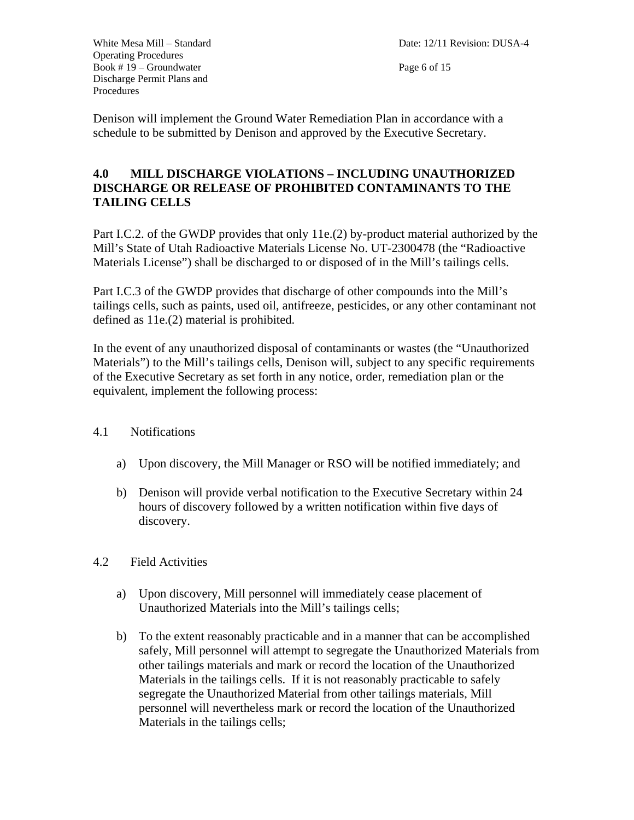Page 6 of 15

Denison will implement the Ground Water Remediation Plan in accordance with a schedule to be submitted by Denison and approved by the Executive Secretary.

## **4.0 MILL DISCHARGE VIOLATIONS – INCLUDING UNAUTHORIZED DISCHARGE OR RELEASE OF PROHIBITED CONTAMINANTS TO THE TAILING CELLS**

Part I.C.2. of the GWDP provides that only 11e.(2) by-product material authorized by the Mill's State of Utah Radioactive Materials License No. UT-2300478 (the "Radioactive Materials License") shall be discharged to or disposed of in the Mill's tailings cells.

Part I.C.3 of the GWDP provides that discharge of other compounds into the Mill's tailings cells, such as paints, used oil, antifreeze, pesticides, or any other contaminant not defined as 11e.(2) material is prohibited.

In the event of any unauthorized disposal of contaminants or wastes (the "Unauthorized Materials") to the Mill's tailings cells, Denison will, subject to any specific requirements of the Executive Secretary as set forth in any notice, order, remediation plan or the equivalent, implement the following process:

- 4.1 Notifications
	- a) Upon discovery, the Mill Manager or RSO will be notified immediately; and
	- b) Denison will provide verbal notification to the Executive Secretary within 24 hours of discovery followed by a written notification within five days of discovery.
- 4.2 Field Activities
	- a) Upon discovery, Mill personnel will immediately cease placement of Unauthorized Materials into the Mill's tailings cells;
	- b) To the extent reasonably practicable and in a manner that can be accomplished safely, Mill personnel will attempt to segregate the Unauthorized Materials from other tailings materials and mark or record the location of the Unauthorized Materials in the tailings cells. If it is not reasonably practicable to safely segregate the Unauthorized Material from other tailings materials, Mill personnel will nevertheless mark or record the location of the Unauthorized Materials in the tailings cells;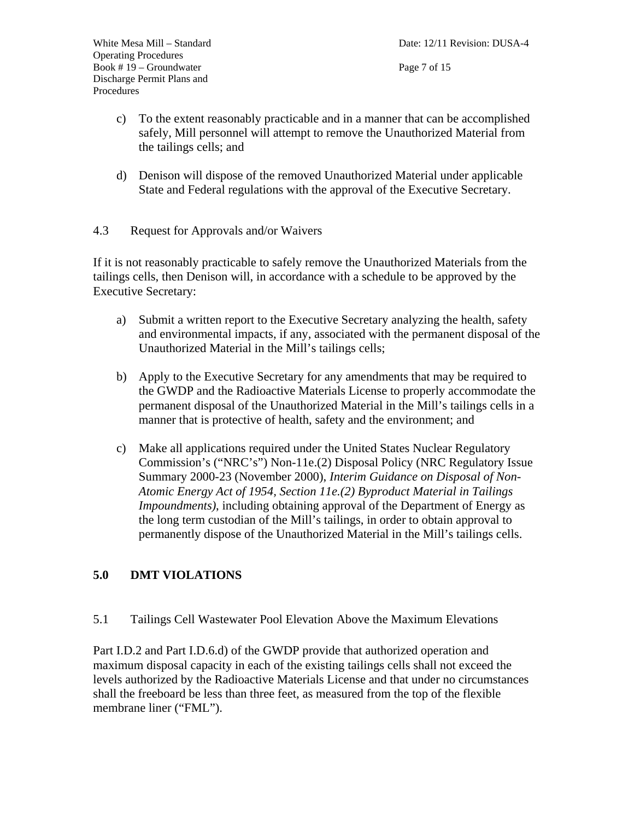- c) To the extent reasonably practicable and in a manner that can be accomplished safely, Mill personnel will attempt to remove the Unauthorized Material from the tailings cells; and
- d) Denison will dispose of the removed Unauthorized Material under applicable State and Federal regulations with the approval of the Executive Secretary.
- 4.3 Request for Approvals and/or Waivers

If it is not reasonably practicable to safely remove the Unauthorized Materials from the tailings cells, then Denison will, in accordance with a schedule to be approved by the Executive Secretary:

- a) Submit a written report to the Executive Secretary analyzing the health, safety and environmental impacts, if any, associated with the permanent disposal of the Unauthorized Material in the Mill's tailings cells;
- b) Apply to the Executive Secretary for any amendments that may be required to the GWDP and the Radioactive Materials License to properly accommodate the permanent disposal of the Unauthorized Material in the Mill's tailings cells in a manner that is protective of health, safety and the environment; and
- c) Make all applications required under the United States Nuclear Regulatory Commission's ("NRC's") Non-11e.(2) Disposal Policy (NRC Regulatory Issue Summary 2000-23 (November 2000), *Interim Guidance on Disposal of Non-Atomic Energy Act of 1954, Section 11e.(2) Byproduct Material in Tailings Impoundments)*, including obtaining approval of the Department of Energy as the long term custodian of the Mill's tailings, in order to obtain approval to permanently dispose of the Unauthorized Material in the Mill's tailings cells.

## **5.0 DMT VIOLATIONS**

5.1 Tailings Cell Wastewater Pool Elevation Above the Maximum Elevations

Part I.D.2 and Part I.D.6.d) of the GWDP provide that authorized operation and maximum disposal capacity in each of the existing tailings cells shall not exceed the levels authorized by the Radioactive Materials License and that under no circumstances shall the freeboard be less than three feet, as measured from the top of the flexible membrane liner ("FML").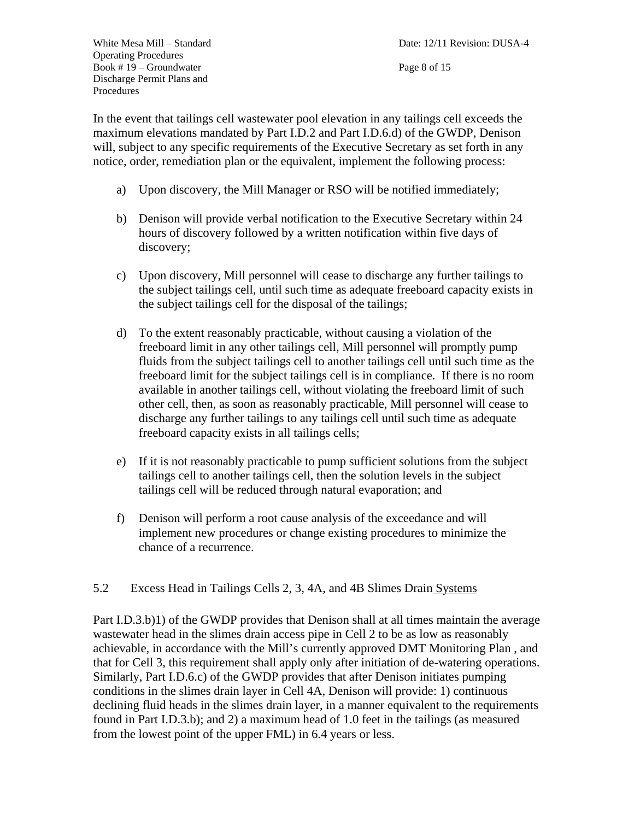In the event that tailings cell wastewater pool elevation in any tailings cell exceeds the maximum elevations mandated by Part I.D.2 and Part I.D.6.d) of the GWDP, Denison will, subject to any specific requirements of the Executive Secretary as set forth in any notice, order, remediation plan or the equivalent, implement the following process:

- a) Upon discovery, the Mill Manager or RSO will be notified immediately;
- b) Denison will provide verbal notification to the Executive Secretary within 24 hours of discovery followed by a written notification within five days of discovery;
- c) Upon discovery, Mill personnel will cease to discharge any further tailings to the subject tailings cell, until such time as adequate freeboard capacity exists in the subject tailings cell for the disposal of the tailings;
- d) To the extent reasonably practicable, without causing a violation of the freeboard limit in any other tailings cell, Mill personnel will promptly pump fluids from the subject tailings cell to another tailings cell until such time as the freeboard limit for the subject tailings cell is in compliance. If there is no room available in another tailings cell, without violating the freeboard limit of such other cell, then, as soon as reasonably practicable, Mill personnel will cease to discharge any further tailings to any tailings cell until such time as adequate freeboard capacity exists in all tailings cells;
- e) If it is not reasonably practicable to pump sufficient solutions from the subject tailings cell to another tailings cell, then the solution levels in the subject tailings cell will be reduced through natural evaporation; and
- f) Denison will perform a root cause analysis of the exceedance and will implement new procedures or change existing procedures to minimize the chance of a recurrence.
- 5.2 Excess Head in Tailings Cells 2, 3, 4A, and 4B Slimes Drain Systems

Part I.D.3.b)1) of the GWDP provides that Denison shall at all times maintain the average wastewater head in the slimes drain access pipe in Cell 2 to be as low as reasonably achievable, in accordance with the Mill's currently approved DMT Monitoring Plan , and that for Cell 3, this requirement shall apply only after initiation of de-watering operations. Similarly, Part I.D.6.c) of the GWDP provides that after Denison initiates pumping conditions in the slimes drain layer in Cell 4A, Denison will provide: 1) continuous declining fluid heads in the slimes drain layer, in a manner equivalent to the requirements found in Part I.D.3.b); and 2) a maximum head of 1.0 feet in the tailings (as measured from the lowest point of the upper FML) in 6.4 years or less.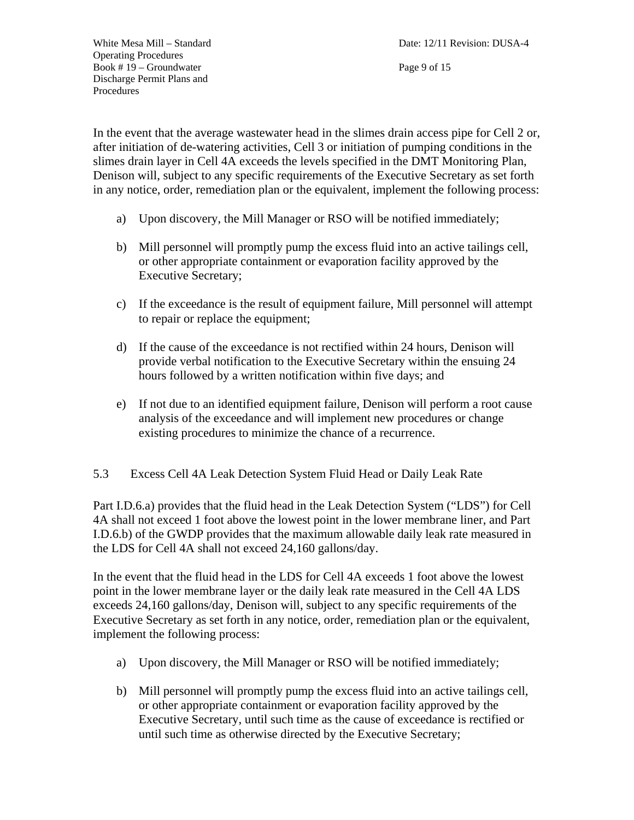Page 9 of 15

In the event that the average wastewater head in the slimes drain access pipe for Cell 2 or, after initiation of de-watering activities, Cell 3 or initiation of pumping conditions in the slimes drain layer in Cell 4A exceeds the levels specified in the DMT Monitoring Plan, Denison will, subject to any specific requirements of the Executive Secretary as set forth in any notice, order, remediation plan or the equivalent, implement the following process:

- a) Upon discovery, the Mill Manager or RSO will be notified immediately;
- b) Mill personnel will promptly pump the excess fluid into an active tailings cell, or other appropriate containment or evaporation facility approved by the Executive Secretary;
- c) If the exceedance is the result of equipment failure, Mill personnel will attempt to repair or replace the equipment;
- d) If the cause of the exceedance is not rectified within 24 hours, Denison will provide verbal notification to the Executive Secretary within the ensuing 24 hours followed by a written notification within five days; and
- e) If not due to an identified equipment failure, Denison will perform a root cause analysis of the exceedance and will implement new procedures or change existing procedures to minimize the chance of a recurrence.
- 5.3 Excess Cell 4A Leak Detection System Fluid Head or Daily Leak Rate

Part I.D.6.a) provides that the fluid head in the Leak Detection System ("LDS") for Cell 4A shall not exceed 1 foot above the lowest point in the lower membrane liner, and Part I.D.6.b) of the GWDP provides that the maximum allowable daily leak rate measured in the LDS for Cell 4A shall not exceed 24,160 gallons/day.

In the event that the fluid head in the LDS for Cell 4A exceeds 1 foot above the lowest point in the lower membrane layer or the daily leak rate measured in the Cell 4A LDS exceeds 24,160 gallons/day, Denison will, subject to any specific requirements of the Executive Secretary as set forth in any notice, order, remediation plan or the equivalent, implement the following process:

- a) Upon discovery, the Mill Manager or RSO will be notified immediately;
- b) Mill personnel will promptly pump the excess fluid into an active tailings cell, or other appropriate containment or evaporation facility approved by the Executive Secretary, until such time as the cause of exceedance is rectified or until such time as otherwise directed by the Executive Secretary;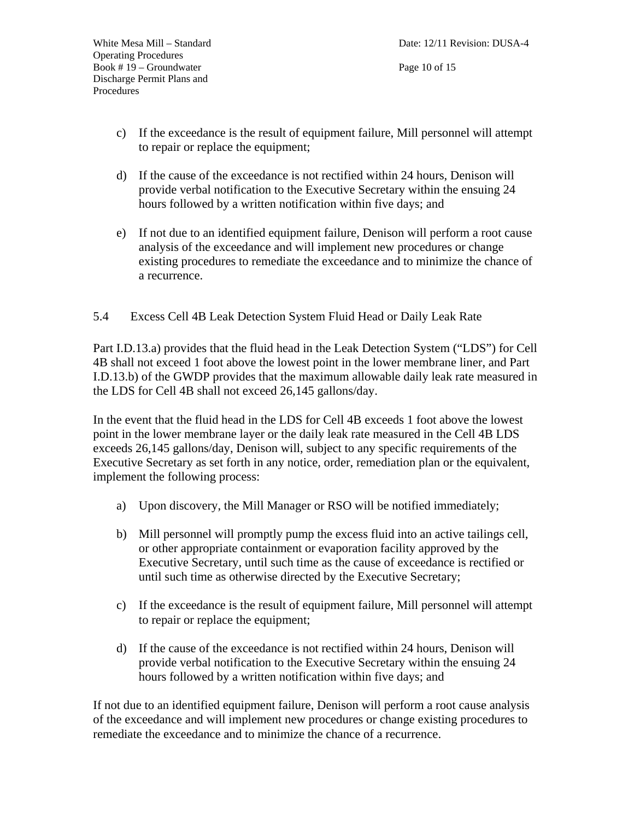- c) If the exceedance is the result of equipment failure, Mill personnel will attempt to repair or replace the equipment;
- d) If the cause of the exceedance is not rectified within 24 hours, Denison will provide verbal notification to the Executive Secretary within the ensuing 24 hours followed by a written notification within five days; and
- e) If not due to an identified equipment failure, Denison will perform a root cause analysis of the exceedance and will implement new procedures or change existing procedures to remediate the exceedance and to minimize the chance of a recurrence.
- 5.4 Excess Cell 4B Leak Detection System Fluid Head or Daily Leak Rate

Part I.D.13.a) provides that the fluid head in the Leak Detection System ("LDS") for Cell 4B shall not exceed 1 foot above the lowest point in the lower membrane liner, and Part I.D.13.b) of the GWDP provides that the maximum allowable daily leak rate measured in the LDS for Cell 4B shall not exceed 26,145 gallons/day.

In the event that the fluid head in the LDS for Cell 4B exceeds 1 foot above the lowest point in the lower membrane layer or the daily leak rate measured in the Cell 4B LDS exceeds 26,145 gallons/day, Denison will, subject to any specific requirements of the Executive Secretary as set forth in any notice, order, remediation plan or the equivalent, implement the following process:

- a) Upon discovery, the Mill Manager or RSO will be notified immediately;
- b) Mill personnel will promptly pump the excess fluid into an active tailings cell, or other appropriate containment or evaporation facility approved by the Executive Secretary, until such time as the cause of exceedance is rectified or until such time as otherwise directed by the Executive Secretary;
- c) If the exceedance is the result of equipment failure, Mill personnel will attempt to repair or replace the equipment;
- d) If the cause of the exceedance is not rectified within 24 hours, Denison will provide verbal notification to the Executive Secretary within the ensuing 24 hours followed by a written notification within five days; and

If not due to an identified equipment failure, Denison will perform a root cause analysis of the exceedance and will implement new procedures or change existing procedures to remediate the exceedance and to minimize the chance of a recurrence.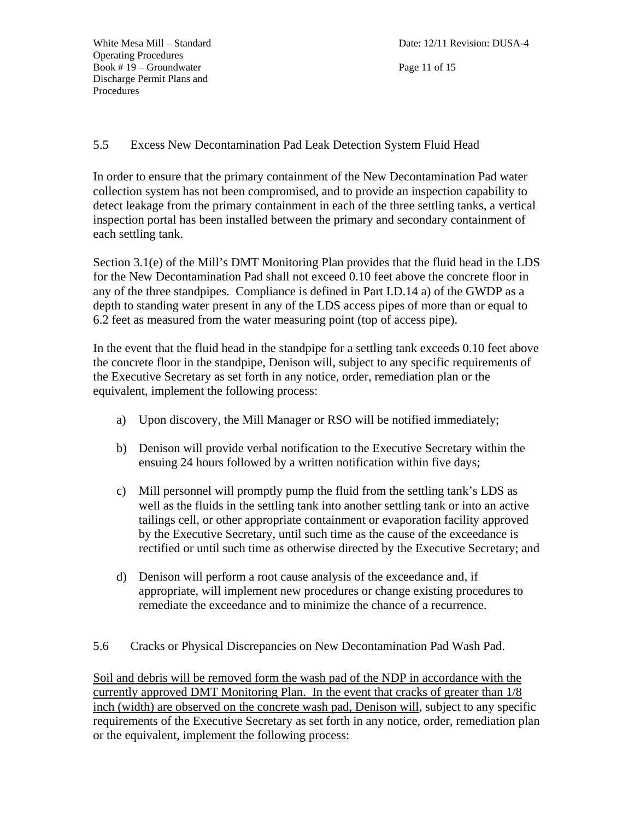Page 11 of 15

## 5.5 Excess New Decontamination Pad Leak Detection System Fluid Head

In order to ensure that the primary containment of the New Decontamination Pad water collection system has not been compromised, and to provide an inspection capability to detect leakage from the primary containment in each of the three settling tanks, a vertical inspection portal has been installed between the primary and secondary containment of each settling tank.

Section 3.1(e) of the Mill's DMT Monitoring Plan provides that the fluid head in the LDS for the New Decontamination Pad shall not exceed 0.10 feet above the concrete floor in any of the three standpipes. Compliance is defined in Part I.D.14 a) of the GWDP as a depth to standing water present in any of the LDS access pipes of more than or equal to 6.2 feet as measured from the water measuring point (top of access pipe).

In the event that the fluid head in the standpipe for a settling tank exceeds 0.10 feet above the concrete floor in the standpipe, Denison will, subject to any specific requirements of the Executive Secretary as set forth in any notice, order, remediation plan or the equivalent, implement the following process:

- a) Upon discovery, the Mill Manager or RSO will be notified immediately;
- b) Denison will provide verbal notification to the Executive Secretary within the ensuing 24 hours followed by a written notification within five days;
- c) Mill personnel will promptly pump the fluid from the settling tank's LDS as well as the fluids in the settling tank into another settling tank or into an active tailings cell, or other appropriate containment or evaporation facility approved by the Executive Secretary, until such time as the cause of the exceedance is rectified or until such time as otherwise directed by the Executive Secretary; and
- d) Denison will perform a root cause analysis of the exceedance and, if appropriate, will implement new procedures or change existing procedures to remediate the exceedance and to minimize the chance of a recurrence.
- 5.6 Cracks or Physical Discrepancies on New Decontamination Pad Wash Pad.

Soil and debris will be removed form the wash pad of the NDP in accordance with the currently approved DMT Monitoring Plan. In the event that cracks of greater than 1/8 inch (width) are observed on the concrete wash pad, Denison will, subject to any specific requirements of the Executive Secretary as set forth in any notice, order, remediation plan or the equivalent, implement the following process: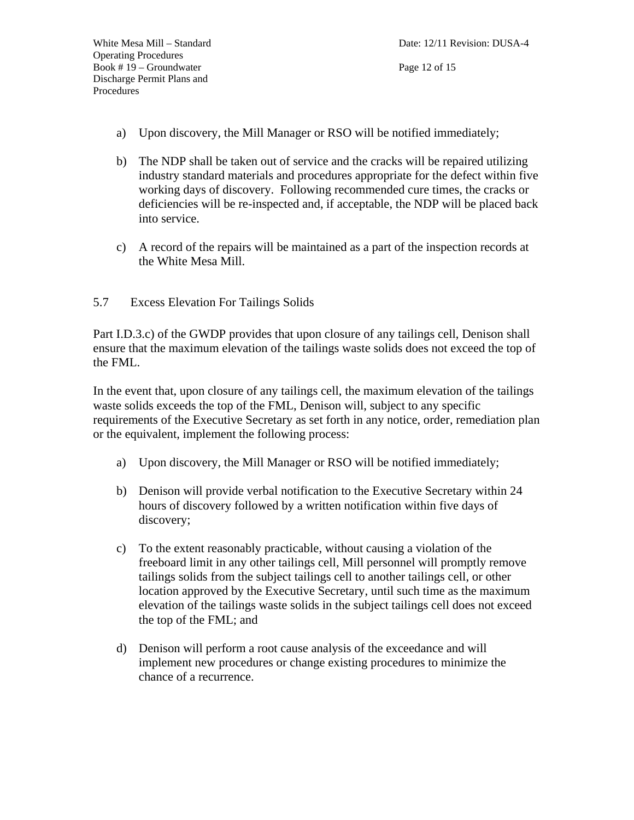- a) Upon discovery, the Mill Manager or RSO will be notified immediately;
- b) The NDP shall be taken out of service and the cracks will be repaired utilizing industry standard materials and procedures appropriate for the defect within five working days of discovery. Following recommended cure times, the cracks or deficiencies will be re-inspected and, if acceptable, the NDP will be placed back into service.
- c) A record of the repairs will be maintained as a part of the inspection records at the White Mesa Mill.
- 5.7 Excess Elevation For Tailings Solids

Part I.D.3.c) of the GWDP provides that upon closure of any tailings cell, Denison shall ensure that the maximum elevation of the tailings waste solids does not exceed the top of the FML.

In the event that, upon closure of any tailings cell, the maximum elevation of the tailings waste solids exceeds the top of the FML, Denison will, subject to any specific requirements of the Executive Secretary as set forth in any notice, order, remediation plan or the equivalent, implement the following process:

- a) Upon discovery, the Mill Manager or RSO will be notified immediately;
- b) Denison will provide verbal notification to the Executive Secretary within 24 hours of discovery followed by a written notification within five days of discovery;
- c) To the extent reasonably practicable, without causing a violation of the freeboard limit in any other tailings cell, Mill personnel will promptly remove tailings solids from the subject tailings cell to another tailings cell, or other location approved by the Executive Secretary, until such time as the maximum elevation of the tailings waste solids in the subject tailings cell does not exceed the top of the FML; and
- d) Denison will perform a root cause analysis of the exceedance and will implement new procedures or change existing procedures to minimize the chance of a recurrence.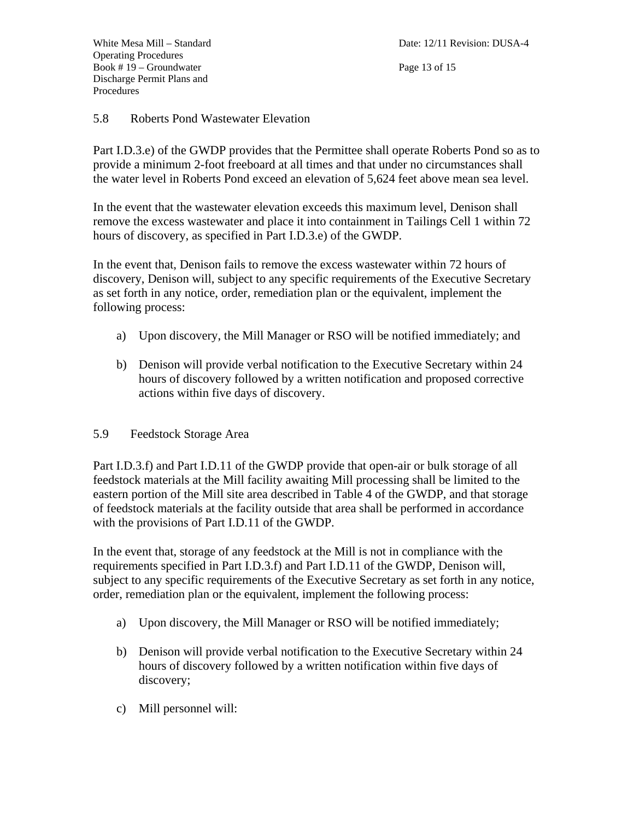Page 13 of 15

#### 5.8 Roberts Pond Wastewater Elevation

Part I.D.3.e) of the GWDP provides that the Permittee shall operate Roberts Pond so as to provide a minimum 2-foot freeboard at all times and that under no circumstances shall the water level in Roberts Pond exceed an elevation of 5,624 feet above mean sea level.

In the event that the wastewater elevation exceeds this maximum level, Denison shall remove the excess wastewater and place it into containment in Tailings Cell 1 within 72 hours of discovery, as specified in Part I.D.3.e) of the GWDP.

In the event that, Denison fails to remove the excess wastewater within 72 hours of discovery, Denison will, subject to any specific requirements of the Executive Secretary as set forth in any notice, order, remediation plan or the equivalent, implement the following process:

- a) Upon discovery, the Mill Manager or RSO will be notified immediately; and
- b) Denison will provide verbal notification to the Executive Secretary within 24 hours of discovery followed by a written notification and proposed corrective actions within five days of discovery.

#### 5.9 Feedstock Storage Area

Part I.D.3.f) and Part I.D.11 of the GWDP provide that open-air or bulk storage of all feedstock materials at the Mill facility awaiting Mill processing shall be limited to the eastern portion of the Mill site area described in Table 4 of the GWDP, and that storage of feedstock materials at the facility outside that area shall be performed in accordance with the provisions of Part I.D.11 of the GWDP.

In the event that, storage of any feedstock at the Mill is not in compliance with the requirements specified in Part I.D.3.f) and Part I.D.11 of the GWDP, Denison will, subject to any specific requirements of the Executive Secretary as set forth in any notice, order, remediation plan or the equivalent, implement the following process:

- a) Upon discovery, the Mill Manager or RSO will be notified immediately;
- b) Denison will provide verbal notification to the Executive Secretary within 24 hours of discovery followed by a written notification within five days of discovery;
- c) Mill personnel will: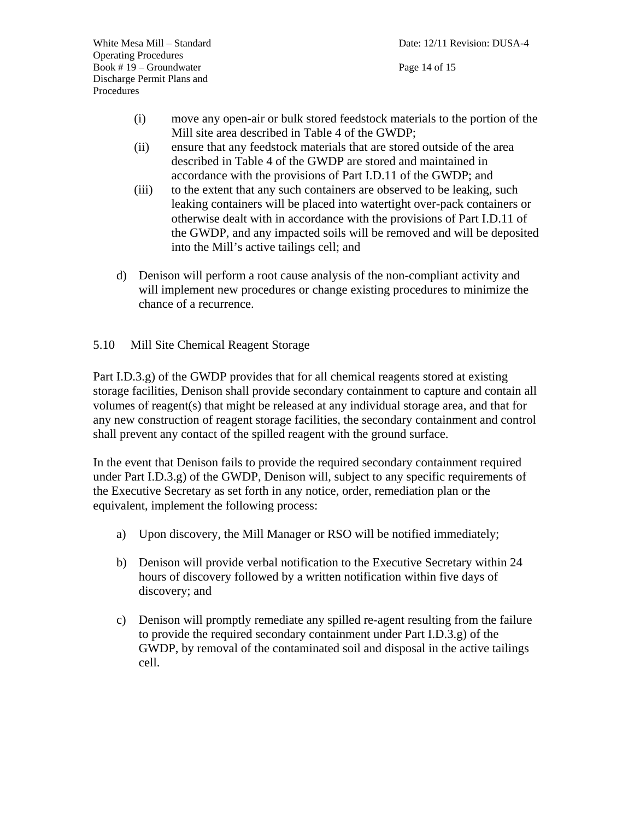- (i) move any open-air or bulk stored feedstock materials to the portion of the Mill site area described in Table 4 of the GWDP;
- (ii) ensure that any feedstock materials that are stored outside of the area described in Table 4 of the GWDP are stored and maintained in accordance with the provisions of Part I.D.11 of the GWDP; and
- (iii) to the extent that any such containers are observed to be leaking, such leaking containers will be placed into watertight over-pack containers or otherwise dealt with in accordance with the provisions of Part I.D.11 of the GWDP, and any impacted soils will be removed and will be deposited into the Mill's active tailings cell; and
- d) Denison will perform a root cause analysis of the non-compliant activity and will implement new procedures or change existing procedures to minimize the chance of a recurrence.

## 5.10 Mill Site Chemical Reagent Storage

Part I.D.3.g) of the GWDP provides that for all chemical reagents stored at existing storage facilities, Denison shall provide secondary containment to capture and contain all volumes of reagent(s) that might be released at any individual storage area, and that for any new construction of reagent storage facilities, the secondary containment and control shall prevent any contact of the spilled reagent with the ground surface.

In the event that Denison fails to provide the required secondary containment required under Part I.D.3.g) of the GWDP, Denison will, subject to any specific requirements of the Executive Secretary as set forth in any notice, order, remediation plan or the equivalent, implement the following process:

- a) Upon discovery, the Mill Manager or RSO will be notified immediately;
- b) Denison will provide verbal notification to the Executive Secretary within 24 hours of discovery followed by a written notification within five days of discovery; and
- c) Denison will promptly remediate any spilled re-agent resulting from the failure to provide the required secondary containment under Part I.D.3.g) of the GWDP, by removal of the contaminated soil and disposal in the active tailings cell.